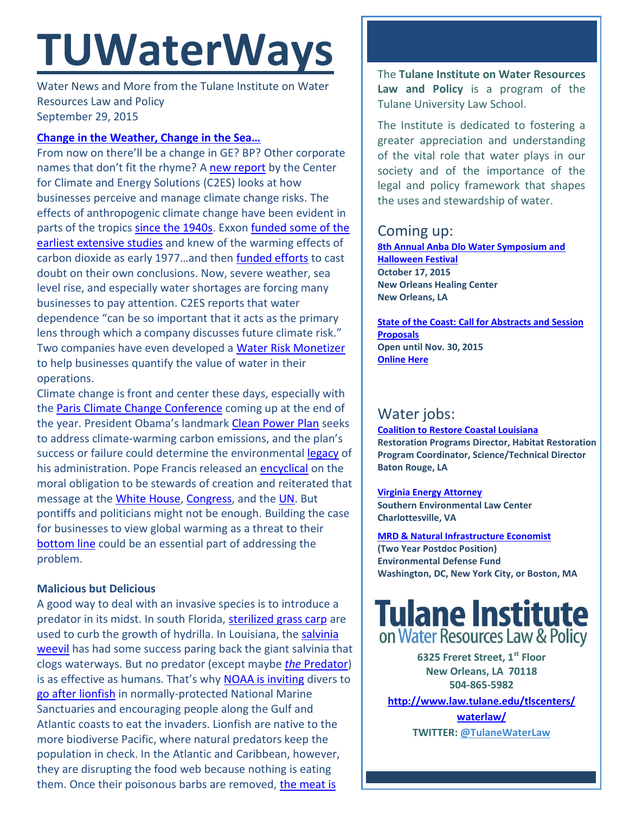# **TUWaterWays**

Water News and More from the Tulane Institute on Water Resources Law and Policy September 29, 2015

## **[Change in the Weather, Change in the Sea…](https://www.youtube.com/watch?v=DrxNCkUf_Zc)**

From now on there'll be a change in GE? BP? Other corporate names that don't fit the rhyme? A [new report](http://www.c2es.org/docUploads/weathering-the-next-storm-report-09-2015.pdf) by the Center for Climate and Energy Solutions (C2ES) looks at how businesses perceive and manage climate change risks. The effects of anthropogenic climate change have been evident in parts of the tropics [since the 1940s.](http://gizmodo.com/we-could-have-discovered-climate-change-as-early-as-the-1732420254) Exxon funded some of the [earliest extensive studies](http://insideclimatenews.org/news/16092015/exxon-believed-deep-dive-into-climate-research-would-protect-its-business) and knew of the warming effects of carbon dioxide as early 1977…and then [funded efforts](http://insideclimatenews.org/news/15092015/Exxons-own-research-confirmed-fossil-fuels-role-in-global-warming) to cast doubt on their own conclusions. Now, severe weather, sea level rise, and especially water shortages are forcing many businesses to pay attention. C2ES reports that water dependence "can be so important that it acts as the primary lens through which a company discusses future climate risk." Two companies have even developed a [Water Risk Monetizer](http://www.businesswire.com/news/home/20150825005202/en/Ecolab-Trucost-Expand-Water-Risk-Monetizer-Include#.VgQ4MNJViko) to help businesses quantify the value of water in their operations.

Climate change is front and center these days, especially with the [Paris Climate Change Conference](http://www.cop21.gouv.fr/en) coming up at the end of the year. President Obama's landmark [Clean Power Plan](http://www2.epa.gov/cleanpowerplan/fact-sheet-overview-clean-power-plan) seeks to address climate-warming carbon emissions, and the plan's success or failure could determine the environmental [legacy](http://www.nytimes.com/2015/08/02/us/obama-to-unveil-tougher-climate-plan-with-his-legacy-in-mind.html) of his administration. Pope Francis released an [encyclical](http://w2.vatican.va/content/francesco/en/encyclicals/documents/papa-francesco_20150524_enciclica-laudato-si.html) on the moral obligation to be stewards of creation and reiterated that message at the [White House,](http://www.nytimes.com/2015/09/24/us/politics/pope-francis-obama-white-house.html) [Congress,](http://www.nytimes.com/2015/09/25/us/pope-francis-congress-speech.html?_r=0) and the [UN.](http://www.aljazeera.com/news/2015/09/full-text-pope-francis-speech-united-nations-150925174945079.html) But pontiffs and politicians might not be enough. Building the case for businesses to view global warming as a threat to their [bottom line](http://nhpr.org/post/nh-business-leaders-call-climate-action) could be an essential part of addressing the problem.

## **Malicious but Delicious**

A good way to deal with an invasive species is to introduce a predator in its midst. In south Florida, [sterilized grass carp](http://www.miamiherald.com/news/local/environment/article4498858.html) are used to curb the growth of hydrilla. In Louisiana, the [salvinia](http://www.lsuagcenter.com/en/communications/publications/agmag/Archive/2015/Winter/Scientists-Continue-Quest-for-Coldtolerant-Salvinia-Weevil.htm)  [weevil](http://www.lsuagcenter.com/en/communications/publications/agmag/Archive/2015/Winter/Scientists-Continue-Quest-for-Coldtolerant-Salvinia-Weevil.htm) has had some success paring back the giant salvinia that clogs waterways. But no predator (except maybe *the* [Predator\)](https://www.youtube.com/watch?v=lOoOP2l_ahQ) is as effective as humans. That's why [NOAA is inviting](http://www.khou.com/story/news/local/2015/09/10/lionfish-invade-gulf-coast-waters/71998160/) divers to [go after lionfish](http://mashable.com/2015/09/09/the-lionfish-hunters/#te1qRUAYkkqP) in normally-protected National Marine Sanctuaries and encouraging people along the Gulf and Atlantic coasts to eat the invaders. Lionfish are native to the more biodiverse Pacific, where natural predators keep the population in check. In the Atlantic and Caribbean, however, they are disrupting the food web because nothing is eating them. Once their poisonous barbs are removed, the meat is

The **Tulane Institute on Water Resources Law and Policy** is a program of the Tulane University Law School.

The Institute is dedicated to fostering a greater appreciation and understanding of the vital role that water plays in our society and of the importance of the legal and policy framework that shapes the uses and stewardship of water.

## Coming up:

**8th Annual Anba Dlo Water Symposium and Halloween Festival October 17, 2015 New Orleans Healing Center New Orleans, LA**

**[State](https://www.google.com/maps/place/Belle+Chasse+Auditorium/@29.853709,-89.9861428,15z/data=!4m2!3m1!1s0x0:0x23d3a90cbaa61491) of the Coast: Call for Abstracts and Session Proposals Open until Nov. 30, 2015 [Online Here](http://stateofthecoast.org/general-information/general-information.html)**

## Water jobs:

**[Coalition to Restore Coastal Louisiana](http://crcl.org/about-us/employment-opportunities-menu.html) Restoration Programs Director, Habitat Restoration Program Coordinator, Science/Technical Director Baton Rouge, LA**

**[Virginia Energy Attorney](http://50.87.248.195/~vcnvaorg/?p=346) Southern Environmental Law Center Charlottesville, VA**

**[MRD & Natural Infrastructure Economist](https://www.edf.org/jobs/mississippi-river-delta-and-natural-infrastructure-economist-2-year-post-doctoral-position) (Two Year Postdoc Position) Environmental Defense Fund Washington, DC, New York City, or Boston, MA**

# **Tulane Institute**<br>on Water Resources Law & Policy

**6325 Freret Street, 1st Floor New Orleans, LA 70118 504-865-5982** 

**[http://www.law.tulane.edu/tlscenters/](http://www.law.tulane.edu/tlscenters/waterlaw/)**

**[waterlaw/](http://www.law.tulane.edu/tlscenters/waterlaw/) TWITTER: [@TulaneWaterLaw](http://www.twitter.com/TulaneWaterLaw)**